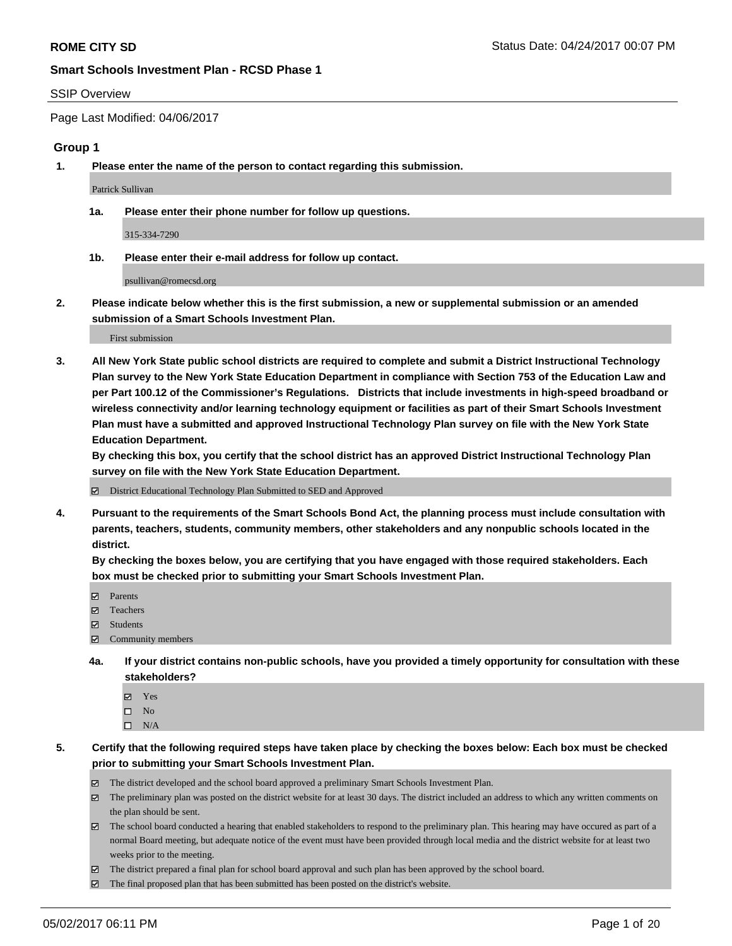#### SSIP Overview

Page Last Modified: 04/06/2017

#### **Group 1**

**1. Please enter the name of the person to contact regarding this submission.**

Patrick Sullivan

**1a. Please enter their phone number for follow up questions.**

315-334-7290

**1b. Please enter their e-mail address for follow up contact.**

psullivan@romecsd.org

**2. Please indicate below whether this is the first submission, a new or supplemental submission or an amended submission of a Smart Schools Investment Plan.**

First submission

**3. All New York State public school districts are required to complete and submit a District Instructional Technology Plan survey to the New York State Education Department in compliance with Section 753 of the Education Law and per Part 100.12 of the Commissioner's Regulations. Districts that include investments in high-speed broadband or wireless connectivity and/or learning technology equipment or facilities as part of their Smart Schools Investment Plan must have a submitted and approved Instructional Technology Plan survey on file with the New York State Education Department.** 

**By checking this box, you certify that the school district has an approved District Instructional Technology Plan survey on file with the New York State Education Department.**

District Educational Technology Plan Submitted to SED and Approved

**4. Pursuant to the requirements of the Smart Schools Bond Act, the planning process must include consultation with parents, teachers, students, community members, other stakeholders and any nonpublic schools located in the district.** 

**By checking the boxes below, you are certifying that you have engaged with those required stakeholders. Each box must be checked prior to submitting your Smart Schools Investment Plan.**

- **マ** Parents
- □ Teachers
- Students
- $\Xi$  Community members
- **4a. If your district contains non-public schools, have you provided a timely opportunity for consultation with these stakeholders?**
	- Yes
	- $\hfill \square$  No
	- $\square$  N/A
- **5. Certify that the following required steps have taken place by checking the boxes below: Each box must be checked prior to submitting your Smart Schools Investment Plan.**
	- The district developed and the school board approved a preliminary Smart Schools Investment Plan.
	- $\boxtimes$  The preliminary plan was posted on the district website for at least 30 days. The district included an address to which any written comments on the plan should be sent.
	- $\boxtimes$  The school board conducted a hearing that enabled stakeholders to respond to the preliminary plan. This hearing may have occured as part of a normal Board meeting, but adequate notice of the event must have been provided through local media and the district website for at least two weeks prior to the meeting.
	- The district prepared a final plan for school board approval and such plan has been approved by the school board.
	- $\boxtimes$  The final proposed plan that has been submitted has been posted on the district's website.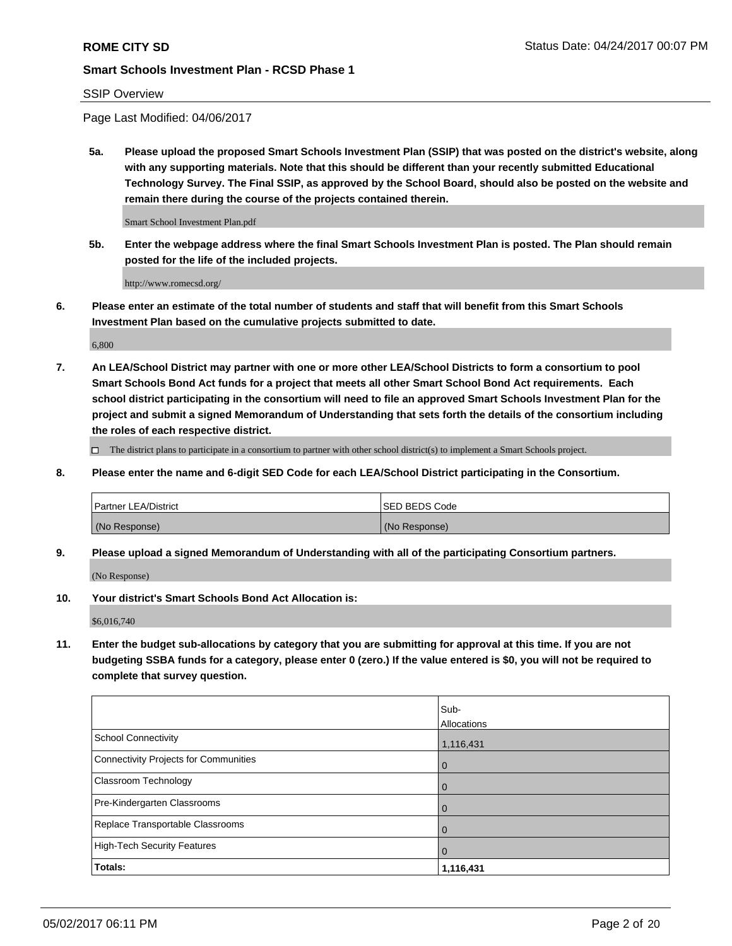### SSIP Overview

Page Last Modified: 04/06/2017

**5a. Please upload the proposed Smart Schools Investment Plan (SSIP) that was posted on the district's website, along with any supporting materials. Note that this should be different than your recently submitted Educational Technology Survey. The Final SSIP, as approved by the School Board, should also be posted on the website and remain there during the course of the projects contained therein.**

Smart School Investment Plan.pdf

**5b. Enter the webpage address where the final Smart Schools Investment Plan is posted. The Plan should remain posted for the life of the included projects.**

http://www.romecsd.org/

**6. Please enter an estimate of the total number of students and staff that will benefit from this Smart Schools Investment Plan based on the cumulative projects submitted to date.**

6,800

**7. An LEA/School District may partner with one or more other LEA/School Districts to form a consortium to pool Smart Schools Bond Act funds for a project that meets all other Smart School Bond Act requirements. Each school district participating in the consortium will need to file an approved Smart Schools Investment Plan for the project and submit a signed Memorandum of Understanding that sets forth the details of the consortium including the roles of each respective district.**

 $\Box$  The district plans to participate in a consortium to partner with other school district(s) to implement a Smart Schools project.

**8. Please enter the name and 6-digit SED Code for each LEA/School District participating in the Consortium.**

| <b>Partner LEA/District</b> | <b>ISED BEDS Code</b> |
|-----------------------------|-----------------------|
| (No Response)               | (No Response)         |

**9. Please upload a signed Memorandum of Understanding with all of the participating Consortium partners.**

(No Response)

**10. Your district's Smart Schools Bond Act Allocation is:**

\$6,016,740

**11. Enter the budget sub-allocations by category that you are submitting for approval at this time. If you are not budgeting SSBA funds for a category, please enter 0 (zero.) If the value entered is \$0, you will not be required to complete that survey question.**

|                                              | Sub-           |
|----------------------------------------------|----------------|
|                                              | Allocations    |
| <b>School Connectivity</b>                   | 1,116,431      |
| <b>Connectivity Projects for Communities</b> | $\overline{0}$ |
| Classroom Technology                         | $\overline{0}$ |
| Pre-Kindergarten Classrooms                  | $\Omega$       |
| Replace Transportable Classrooms             | $\overline{0}$ |
| <b>High-Tech Security Features</b>           | 0              |
| Totals:                                      | 1,116,431      |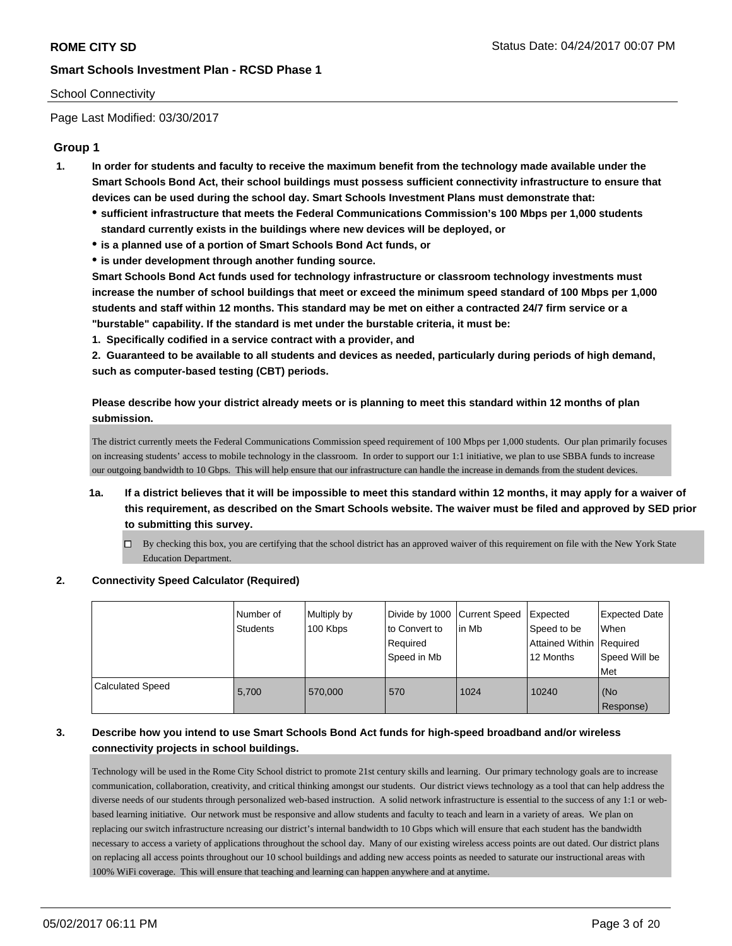## School Connectivity

Page Last Modified: 03/30/2017

## **Group 1**

- **1. In order for students and faculty to receive the maximum benefit from the technology made available under the Smart Schools Bond Act, their school buildings must possess sufficient connectivity infrastructure to ensure that devices can be used during the school day. Smart Schools Investment Plans must demonstrate that:**
	- **sufficient infrastructure that meets the Federal Communications Commission's 100 Mbps per 1,000 students standard currently exists in the buildings where new devices will be deployed, or**
	- **is a planned use of a portion of Smart Schools Bond Act funds, or**
	- **is under development through another funding source.**

**Smart Schools Bond Act funds used for technology infrastructure or classroom technology investments must increase the number of school buildings that meet or exceed the minimum speed standard of 100 Mbps per 1,000 students and staff within 12 months. This standard may be met on either a contracted 24/7 firm service or a "burstable" capability. If the standard is met under the burstable criteria, it must be:**

**1. Specifically codified in a service contract with a provider, and**

**2. Guaranteed to be available to all students and devices as needed, particularly during periods of high demand, such as computer-based testing (CBT) periods.**

**Please describe how your district already meets or is planning to meet this standard within 12 months of plan submission.**

The district currently meets the Federal Communications Commission speed requirement of 100 Mbps per 1,000 students. Our plan primarily focuses on increasing students' access to mobile technology in the classroom. In order to support our 1:1 initiative, we plan to use SBBA funds to increase our outgoing bandwidth to 10 Gbps. This will help ensure that our infrastructure can handle the increase in demands from the student devices.

- **1a. If a district believes that it will be impossible to meet this standard within 12 months, it may apply for a waiver of this requirement, as described on the Smart Schools website. The waiver must be filed and approved by SED prior to submitting this survey.**
	- By checking this box, you are certifying that the school district has an approved waiver of this requirement on file with the New York State Education Department.

#### **2. Connectivity Speed Calculator (Required)**

|                         | Number of<br><b>Students</b> | Multiply by<br>100 Kbps | Divide by 1000 Current Speed<br>to Convert to<br>Required<br>Speed in Mb | lin Mb | Expected<br>Speed to be<br>Attained Within   Required<br>12 Months | <b>Expected Date</b><br>When<br>Speed Will be<br>Met |
|-------------------------|------------------------------|-------------------------|--------------------------------------------------------------------------|--------|--------------------------------------------------------------------|------------------------------------------------------|
| <b>Calculated Speed</b> | 5,700                        | 570,000                 | 570                                                                      | 1024   | 10240                                                              | l (No<br>Response)                                   |

## **3. Describe how you intend to use Smart Schools Bond Act funds for high-speed broadband and/or wireless connectivity projects in school buildings.**

Technology will be used in the Rome City School district to promote 21st century skills and learning. Our primary technology goals are to increase communication, collaboration, creativity, and critical thinking amongst our students. Our district views technology as a tool that can help address the diverse needs of our students through personalized web-based instruction. A solid network infrastructure is essential to the success of any 1:1 or webbased learning initiative. Our network must be responsive and allow students and faculty to teach and learn in a variety of areas. We plan on replacing our switch infrastructure ncreasing our district's internal bandwidth to 10 Gbps which will ensure that each student has the bandwidth necessary to access a variety of applications throughout the school day. Many of our existing wireless access points are out dated. Our district plans on replacing all access points throughout our 10 school buildings and adding new access points as needed to saturate our instructional areas with 100% WiFi coverage. This will ensure that teaching and learning can happen anywhere and at anytime.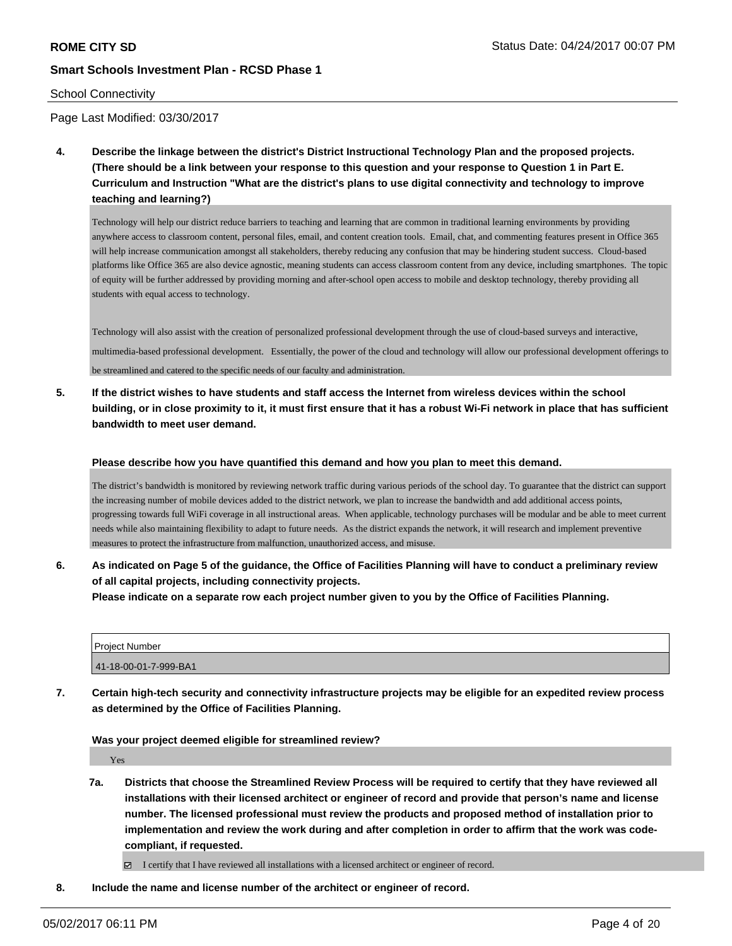#### School Connectivity

Page Last Modified: 03/30/2017

**4. Describe the linkage between the district's District Instructional Technology Plan and the proposed projects. (There should be a link between your response to this question and your response to Question 1 in Part E. Curriculum and Instruction "What are the district's plans to use digital connectivity and technology to improve teaching and learning?)**

Technology will help our district reduce barriers to teaching and learning that are common in traditional learning environments by providing anywhere access to classroom content, personal files, email, and content creation tools. Email, chat, and commenting features present in Office 365 will help increase communication amongst all stakeholders, thereby reducing any confusion that may be hindering student success. Cloud-based platforms like Office 365 are also device agnostic, meaning students can access classroom content from any device, including smartphones. The topic of equity will be further addressed by providing morning and after-school open access to mobile and desktop technology, thereby providing all students with equal access to technology.

Technology will also assist with the creation of personalized professional development through the use of cloud-based surveys and interactive, multimedia-based professional development. Essentially, the power of the cloud and technology will allow our professional development offerings to be streamlined and catered to the specific needs of our faculty and administration.

**5. If the district wishes to have students and staff access the Internet from wireless devices within the school building, or in close proximity to it, it must first ensure that it has a robust Wi-Fi network in place that has sufficient bandwidth to meet user demand.**

#### **Please describe how you have quantified this demand and how you plan to meet this demand.**

The district's bandwidth is monitored by reviewing network traffic during various periods of the school day. To guarantee that the district can support the increasing number of mobile devices added to the district network, we plan to increase the bandwidth and add additional access points, progressing towards full WiFi coverage in all instructional areas. When applicable, technology purchases will be modular and be able to meet current needs while also maintaining flexibility to adapt to future needs. As the district expands the network, it will research and implement preventive measures to protect the infrastructure from malfunction, unauthorized access, and misuse.

**6. As indicated on Page 5 of the guidance, the Office of Facilities Planning will have to conduct a preliminary review of all capital projects, including connectivity projects.**

**Please indicate on a separate row each project number given to you by the Office of Facilities Planning.**

| <b>Project Number</b> |  |
|-----------------------|--|
| 41-18-00-01-7-999-BA1 |  |

**7. Certain high-tech security and connectivity infrastructure projects may be eligible for an expedited review process as determined by the Office of Facilities Planning.**

#### **Was your project deemed eligible for streamlined review?**

Yes

**7a. Districts that choose the Streamlined Review Process will be required to certify that they have reviewed all installations with their licensed architect or engineer of record and provide that person's name and license number. The licensed professional must review the products and proposed method of installation prior to implementation and review the work during and after completion in order to affirm that the work was codecompliant, if requested.**

I certify that I have reviewed all installations with a licensed architect or engineer of record.

**8. Include the name and license number of the architect or engineer of record.**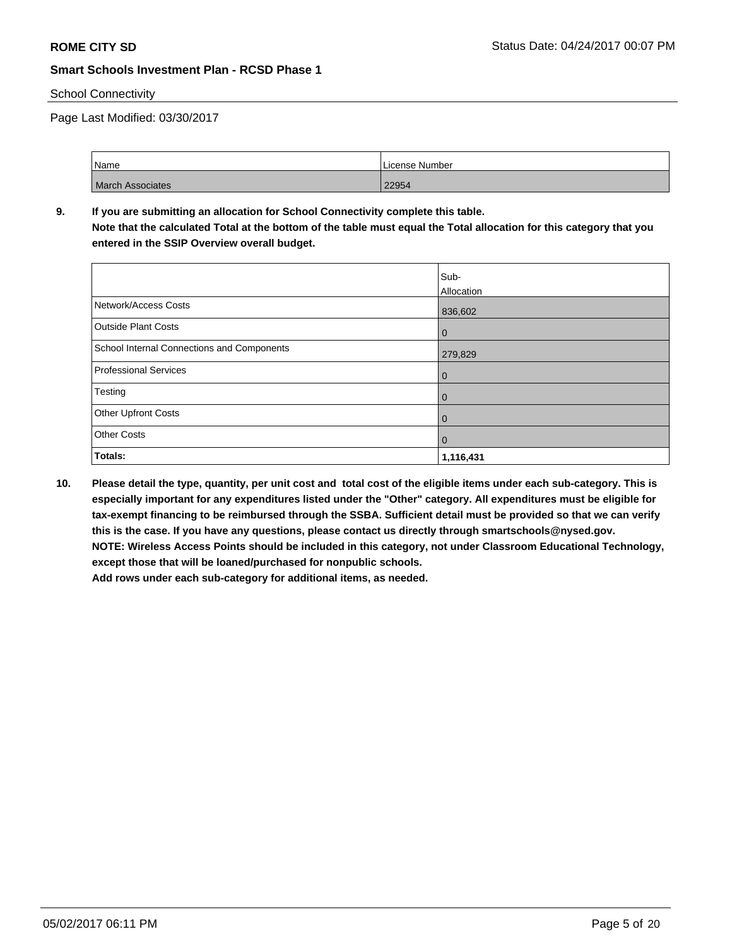### School Connectivity

Page Last Modified: 03/30/2017

| Name                    | License Number |
|-------------------------|----------------|
| <b>March Associates</b> | 22954          |

# **9. If you are submitting an allocation for School Connectivity complete this table. Note that the calculated Total at the bottom of the table must equal the Total allocation for this category that you**

**entered in the SSIP Overview overall budget.** 

|                                            | Sub-<br>Allocation |
|--------------------------------------------|--------------------|
| Network/Access Costs                       | 836,602            |
| <b>Outside Plant Costs</b>                 | 0                  |
| School Internal Connections and Components | 279,829            |
| Professional Services                      | 0                  |
| Testing                                    | 0                  |
| <b>Other Upfront Costs</b>                 | 0                  |
| <b>Other Costs</b>                         | 0                  |
| Totals:                                    | 1,116,431          |

**10. Please detail the type, quantity, per unit cost and total cost of the eligible items under each sub-category. This is especially important for any expenditures listed under the "Other" category. All expenditures must be eligible for tax-exempt financing to be reimbursed through the SSBA. Sufficient detail must be provided so that we can verify this is the case. If you have any questions, please contact us directly through smartschools@nysed.gov. NOTE: Wireless Access Points should be included in this category, not under Classroom Educational Technology, except those that will be loaned/purchased for nonpublic schools. Add rows under each sub-category for additional items, as needed.**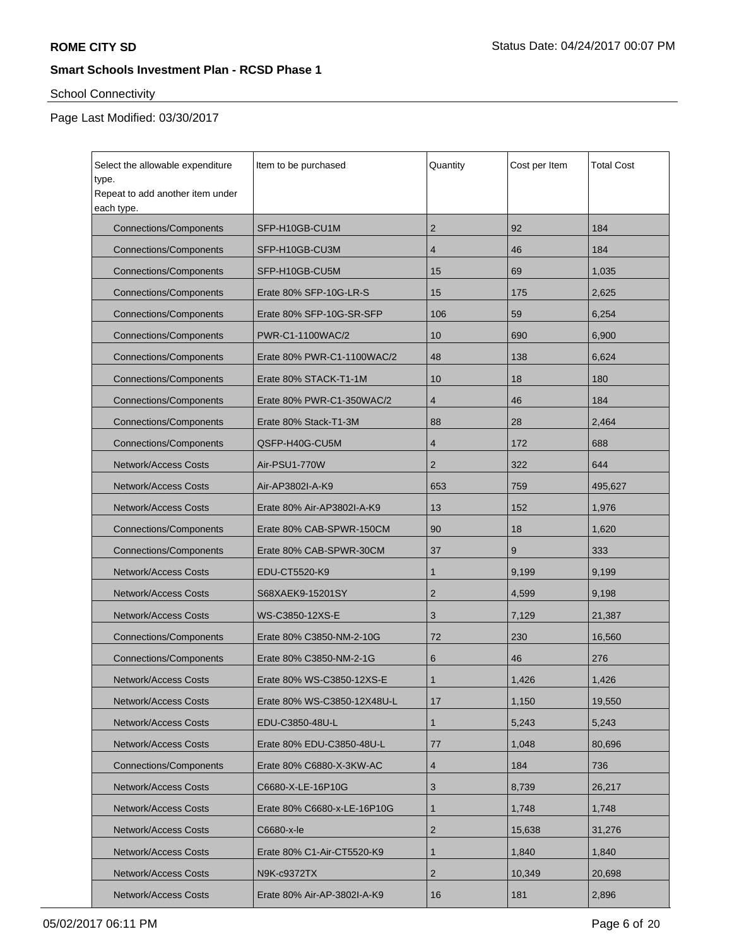# School Connectivity

| Select the allowable expenditure<br>type.<br>Repeat to add another item under | Item to be purchased        | Quantity       | Cost per Item | <b>Total Cost</b> |
|-------------------------------------------------------------------------------|-----------------------------|----------------|---------------|-------------------|
| each type.                                                                    |                             |                |               |                   |
| <b>Connections/Components</b>                                                 | SFP-H10GB-CU1M              | $\overline{c}$ | 92            | 184               |
| <b>Connections/Components</b>                                                 | SFP-H10GB-CU3M              | 4              | 46            | 184               |
| <b>Connections/Components</b>                                                 | SFP-H10GB-CU5M              | 15             | 69            | 1,035             |
| <b>Connections/Components</b>                                                 | Erate 80% SFP-10G-LR-S      | 15             | 175           | 2,625             |
| <b>Connections/Components</b>                                                 | Erate 80% SFP-10G-SR-SFP    | 106            | 59            | 6,254             |
| <b>Connections/Components</b>                                                 | PWR-C1-1100WAC/2            | 10             | 690           | 6,900             |
| <b>Connections/Components</b>                                                 | Erate 80% PWR-C1-1100WAC/2  | 48             | 138           | 6,624             |
| <b>Connections/Components</b>                                                 | Erate 80% STACK-T1-1M       | 10             | 18            | 180               |
| <b>Connections/Components</b>                                                 | Erate 80% PWR-C1-350WAC/2   | 4              | 46            | 184               |
| <b>Connections/Components</b>                                                 | Erate 80% Stack-T1-3M       | 88             | 28            | 2,464             |
| <b>Connections/Components</b>                                                 | QSFP-H40G-CU5M              | 4              | 172           | 688               |
| <b>Network/Access Costs</b>                                                   | Air-PSU1-770W               |                | 322           | 644               |
| <b>Network/Access Costs</b>                                                   | Air-AP3802I-A-K9            |                | 759           | 495,627           |
| <b>Network/Access Costs</b>                                                   | Erate 80% Air-AP3802I-A-K9  | 13             | 152           | 1,976             |
| <b>Connections/Components</b>                                                 | Erate 80% CAB-SPWR-150CM    | 90             | 18            | 1,620             |
| <b>Connections/Components</b>                                                 | Erate 80% CAB-SPWR-30CM     | 37             | 9             | 333               |
| <b>Network/Access Costs</b>                                                   | EDU-CT5520-K9               | 1              | 9,199         | 9,199             |
| <b>Network/Access Costs</b>                                                   | S68XAEK9-15201SY            | $\overline{c}$ | 4,599         | 9,198             |
| <b>Network/Access Costs</b>                                                   | WS-C3850-12XS-E             | 3              | 7,129         | 21,387            |
| <b>Connections/Components</b>                                                 | Erate 80% C3850-NM-2-10G    | 72             | 230           | 16,560            |
| <b>Connections/Components</b>                                                 | Erate 80% C3850-NM-2-1G     | 6              | 46            | 276               |
| <b>Network/Access Costs</b>                                                   | Erate 80% WS-C3850-12XS-E   | 1              | 1,426         | 1,426             |
| Network/Access Costs                                                          | Erate 80% WS-C3850-12X48U-L | 17             | 1,150         | 19,550            |
| <b>Network/Access Costs</b>                                                   | EDU-C3850-48U-L             | 1              | 5,243         | 5,243             |
| <b>Network/Access Costs</b>                                                   | Erate 80% EDU-C3850-48U-L   | 77             | 1,048         | 80,696            |
| <b>Connections/Components</b>                                                 | Erate 80% C6880-X-3KW-AC    | 4              | 184           | 736               |
| <b>Network/Access Costs</b>                                                   | C6680-X-LE-16P10G           | 3              | 8,739         | 26,217            |
| Network/Access Costs                                                          | Erate 80% C6680-x-LE-16P10G | 1              | 1,748         | 1,748             |
| <b>Network/Access Costs</b>                                                   | C6680-x-le                  | 2              | 15,638        | 31,276            |
| Network/Access Costs                                                          | Erate 80% C1-Air-CT5520-K9  | 1              | 1,840         | 1,840             |
| <b>Network/Access Costs</b>                                                   | N9K-c9372TX                 | 2              | 10,349        | 20,698            |
| Network/Access Costs                                                          | Erate 80% Air-AP-3802I-A-K9 | 16             | 181           | 2,896             |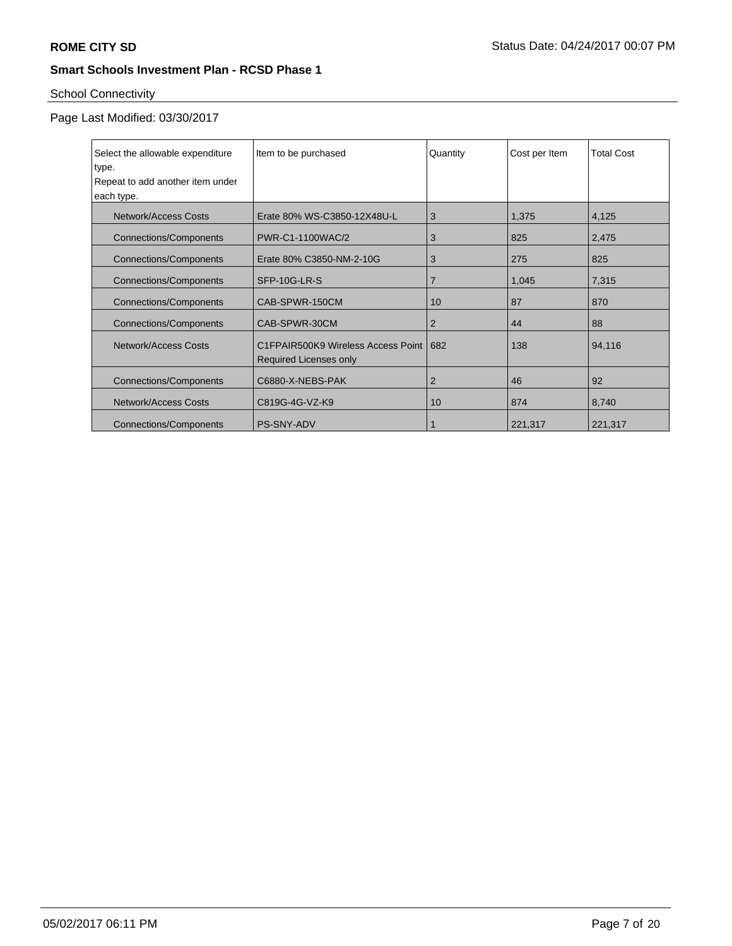# School Connectivity

| Select the allowable expenditure | Item to be purchased                    | Quantity       | Cost per Item | <b>Total Cost</b> |
|----------------------------------|-----------------------------------------|----------------|---------------|-------------------|
| type.                            |                                         |                |               |                   |
| Repeat to add another item under |                                         |                |               |                   |
| each type.                       |                                         |                |               |                   |
| Network/Access Costs             | Erate 80% WS-C3850-12X48U-L             | 3              | 1,375         | 4,125             |
| <b>Connections/Components</b>    | PWR-C1-1100WAC/2                        | 3              | 825           | 2,475             |
| <b>Connections/Components</b>    | Erate 80% C3850-NM-2-10G                | 3              | 275           | 825               |
| <b>Connections/Components</b>    | SFP-10G-LR-S                            | $\overline{7}$ | 1,045         | 7,315             |
| <b>Connections/Components</b>    | CAB-SPWR-150CM                          | 10             | 87            | 870               |
| <b>Connections/Components</b>    | CAB-SPWR-30CM                           | 2              | 44            | 88                |
| Network/Access Costs             | C1FPAIR500K9 Wireless Access Point 1682 |                | 138           | 94,116            |
|                                  | Required Licenses only                  |                |               |                   |
| <b>Connections/Components</b>    | C6880-X-NEBS-PAK                        | 2              | 46            | 92                |
| <b>Network/Access Costs</b>      | C819G-4G-VZ-K9                          | 10             | 874           | 8,740             |
| <b>Connections/Components</b>    | <b>PS-SNY-ADV</b>                       | 1              | 221,317       | 221,317           |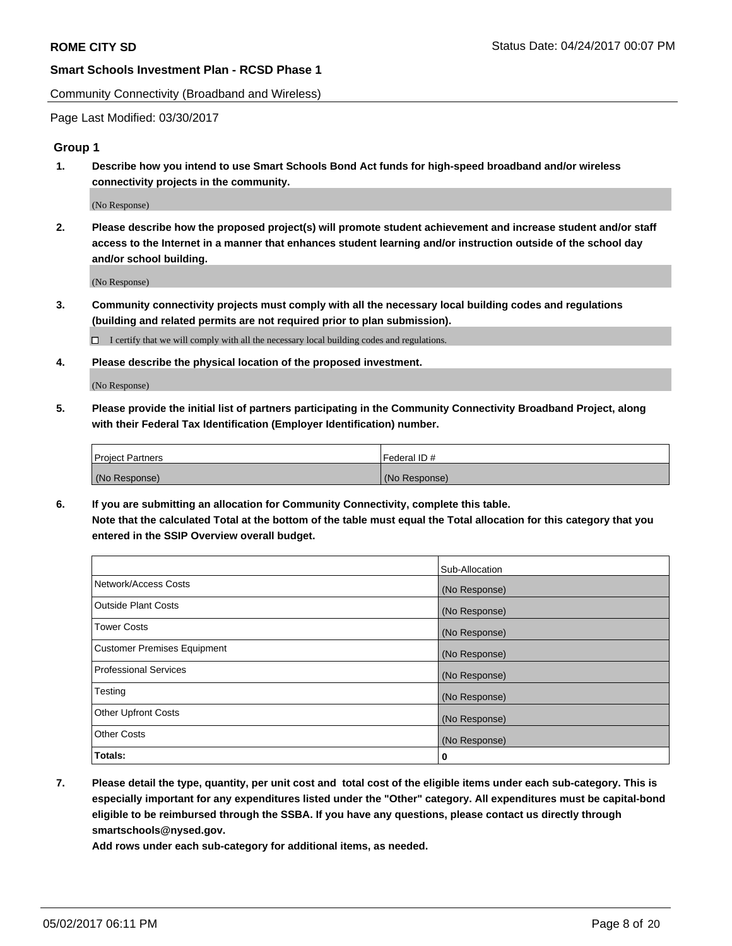Community Connectivity (Broadband and Wireless)

Page Last Modified: 03/30/2017

#### **Group 1**

**1. Describe how you intend to use Smart Schools Bond Act funds for high-speed broadband and/or wireless connectivity projects in the community.**

(No Response)

**2. Please describe how the proposed project(s) will promote student achievement and increase student and/or staff access to the Internet in a manner that enhances student learning and/or instruction outside of the school day and/or school building.**

(No Response)

**3. Community connectivity projects must comply with all the necessary local building codes and regulations (building and related permits are not required prior to plan submission).**

 $\Box$  I certify that we will comply with all the necessary local building codes and regulations.

**4. Please describe the physical location of the proposed investment.**

(No Response)

**5. Please provide the initial list of partners participating in the Community Connectivity Broadband Project, along with their Federal Tax Identification (Employer Identification) number.**

| <b>Project Partners</b> | Federal ID#     |
|-------------------------|-----------------|
| (No Response)           | l (No Response) |

**6. If you are submitting an allocation for Community Connectivity, complete this table. Note that the calculated Total at the bottom of the table must equal the Total allocation for this category that you entered in the SSIP Overview overall budget.**

|                                    | Sub-Allocation |
|------------------------------------|----------------|
| Network/Access Costs               | (No Response)  |
| Outside Plant Costs                | (No Response)  |
| Tower Costs                        | (No Response)  |
| <b>Customer Premises Equipment</b> | (No Response)  |
| <b>Professional Services</b>       | (No Response)  |
| Testing                            | (No Response)  |
| <b>Other Upfront Costs</b>         | (No Response)  |
| <b>Other Costs</b>                 | (No Response)  |
| Totals:                            | 0              |

**7. Please detail the type, quantity, per unit cost and total cost of the eligible items under each sub-category. This is especially important for any expenditures listed under the "Other" category. All expenditures must be capital-bond eligible to be reimbursed through the SSBA. If you have any questions, please contact us directly through smartschools@nysed.gov.**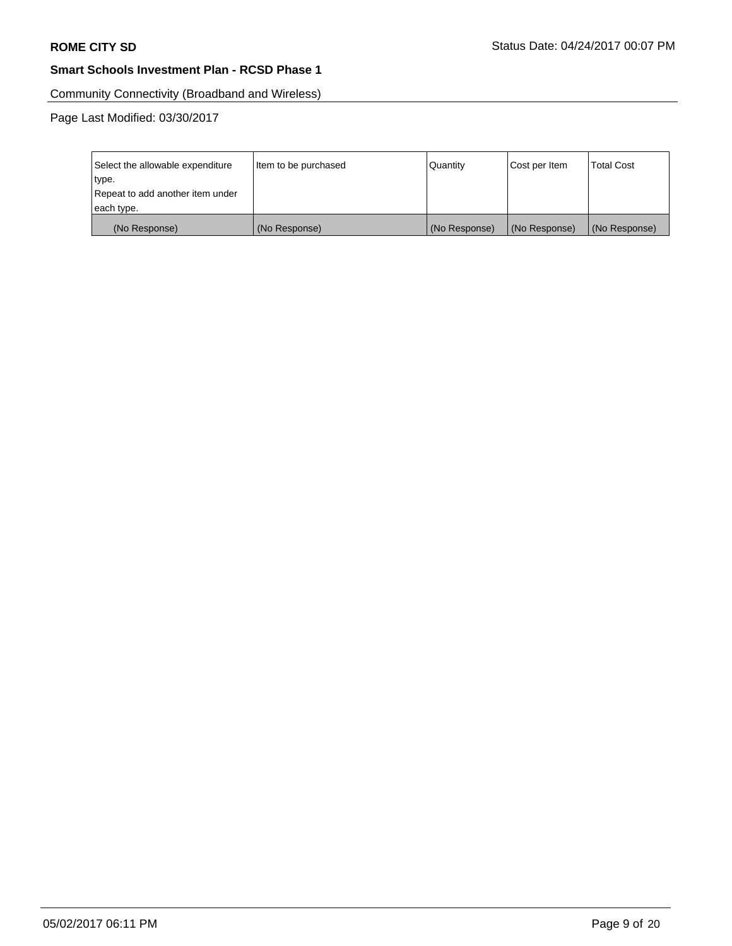Community Connectivity (Broadband and Wireless)

| Select the allowable expenditure<br>type.<br>Repeat to add another item under | Item to be purchased | Quantity      | Cost per Item | <b>Total Cost</b> |
|-------------------------------------------------------------------------------|----------------------|---------------|---------------|-------------------|
| each type.                                                                    |                      |               |               |                   |
| (No Response)                                                                 | (No Response)        | (No Response) | (No Response) | (No Response)     |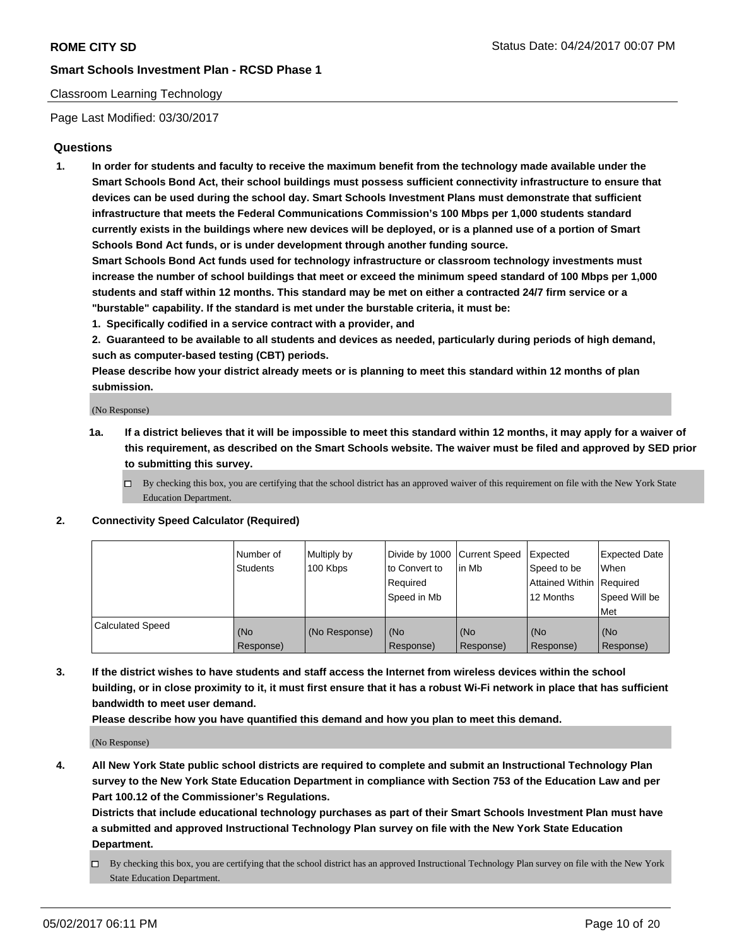## Classroom Learning Technology

Page Last Modified: 03/30/2017

## **Questions**

**1. In order for students and faculty to receive the maximum benefit from the technology made available under the Smart Schools Bond Act, their school buildings must possess sufficient connectivity infrastructure to ensure that devices can be used during the school day. Smart Schools Investment Plans must demonstrate that sufficient infrastructure that meets the Federal Communications Commission's 100 Mbps per 1,000 students standard currently exists in the buildings where new devices will be deployed, or is a planned use of a portion of Smart Schools Bond Act funds, or is under development through another funding source.**

**Smart Schools Bond Act funds used for technology infrastructure or classroom technology investments must increase the number of school buildings that meet or exceed the minimum speed standard of 100 Mbps per 1,000 students and staff within 12 months. This standard may be met on either a contracted 24/7 firm service or a "burstable" capability. If the standard is met under the burstable criteria, it must be:**

- **1. Specifically codified in a service contract with a provider, and**
- **2. Guaranteed to be available to all students and devices as needed, particularly during periods of high demand, such as computer-based testing (CBT) periods.**

**Please describe how your district already meets or is planning to meet this standard within 12 months of plan submission.**

(No Response)

- **1a. If a district believes that it will be impossible to meet this standard within 12 months, it may apply for a waiver of this requirement, as described on the Smart Schools website. The waiver must be filed and approved by SED prior to submitting this survey.**
	- $\Box$  By checking this box, you are certifying that the school district has an approved waiver of this requirement on file with the New York State Education Department.

#### **2. Connectivity Speed Calculator (Required)**

|                         | l Number of<br>Students | Multiply by<br>100 Kbps | Divide by 1000   Current Speed<br>to Convert to<br>Required<br>Speed in Mb | lin Mb           | Expected<br>Speed to be<br>Attained Within Required<br>12 Months | <b>Expected Date</b><br>When<br>Speed Will be<br>Met |
|-------------------------|-------------------------|-------------------------|----------------------------------------------------------------------------|------------------|------------------------------------------------------------------|------------------------------------------------------|
| <b>Calculated Speed</b> | (No<br>Response)        | (No Response)           | (No<br>Response)                                                           | (No<br>Response) | (No<br>Response)                                                 | (No<br>Response)                                     |

**3. If the district wishes to have students and staff access the Internet from wireless devices within the school building, or in close proximity to it, it must first ensure that it has a robust Wi-Fi network in place that has sufficient bandwidth to meet user demand.**

**Please describe how you have quantified this demand and how you plan to meet this demand.**

(No Response)

**4. All New York State public school districts are required to complete and submit an Instructional Technology Plan survey to the New York State Education Department in compliance with Section 753 of the Education Law and per Part 100.12 of the Commissioner's Regulations.**

**Districts that include educational technology purchases as part of their Smart Schools Investment Plan must have a submitted and approved Instructional Technology Plan survey on file with the New York State Education Department.**

 $\Box$  By checking this box, you are certifying that the school district has an approved Instructional Technology Plan survey on file with the New York State Education Department.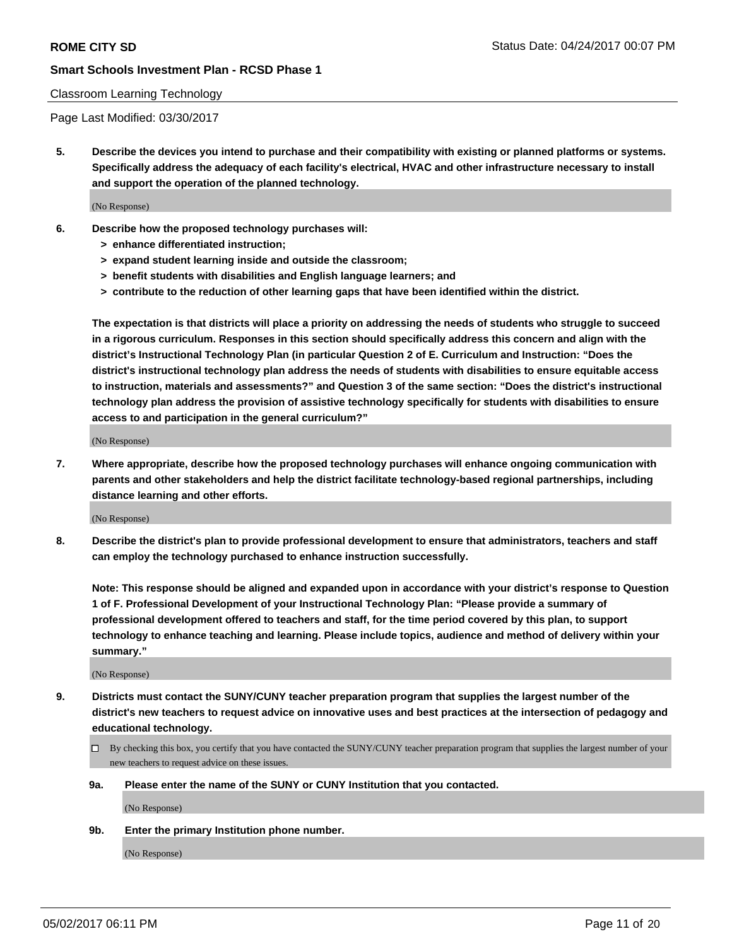#### Classroom Learning Technology

Page Last Modified: 03/30/2017

**5. Describe the devices you intend to purchase and their compatibility with existing or planned platforms or systems. Specifically address the adequacy of each facility's electrical, HVAC and other infrastructure necessary to install and support the operation of the planned technology.**

(No Response)

- **6. Describe how the proposed technology purchases will:**
	- **> enhance differentiated instruction;**
	- **> expand student learning inside and outside the classroom;**
	- **> benefit students with disabilities and English language learners; and**
	- **> contribute to the reduction of other learning gaps that have been identified within the district.**

**The expectation is that districts will place a priority on addressing the needs of students who struggle to succeed in a rigorous curriculum. Responses in this section should specifically address this concern and align with the district's Instructional Technology Plan (in particular Question 2 of E. Curriculum and Instruction: "Does the district's instructional technology plan address the needs of students with disabilities to ensure equitable access to instruction, materials and assessments?" and Question 3 of the same section: "Does the district's instructional technology plan address the provision of assistive technology specifically for students with disabilities to ensure access to and participation in the general curriculum?"**

(No Response)

**7. Where appropriate, describe how the proposed technology purchases will enhance ongoing communication with parents and other stakeholders and help the district facilitate technology-based regional partnerships, including distance learning and other efforts.**

(No Response)

**8. Describe the district's plan to provide professional development to ensure that administrators, teachers and staff can employ the technology purchased to enhance instruction successfully.**

**Note: This response should be aligned and expanded upon in accordance with your district's response to Question 1 of F. Professional Development of your Instructional Technology Plan: "Please provide a summary of professional development offered to teachers and staff, for the time period covered by this plan, to support technology to enhance teaching and learning. Please include topics, audience and method of delivery within your summary."**

(No Response)

- **9. Districts must contact the SUNY/CUNY teacher preparation program that supplies the largest number of the district's new teachers to request advice on innovative uses and best practices at the intersection of pedagogy and educational technology.**
	- By checking this box, you certify that you have contacted the SUNY/CUNY teacher preparation program that supplies the largest number of your new teachers to request advice on these issues.
	- **9a. Please enter the name of the SUNY or CUNY Institution that you contacted.**

(No Response)

**9b. Enter the primary Institution phone number.**

(No Response)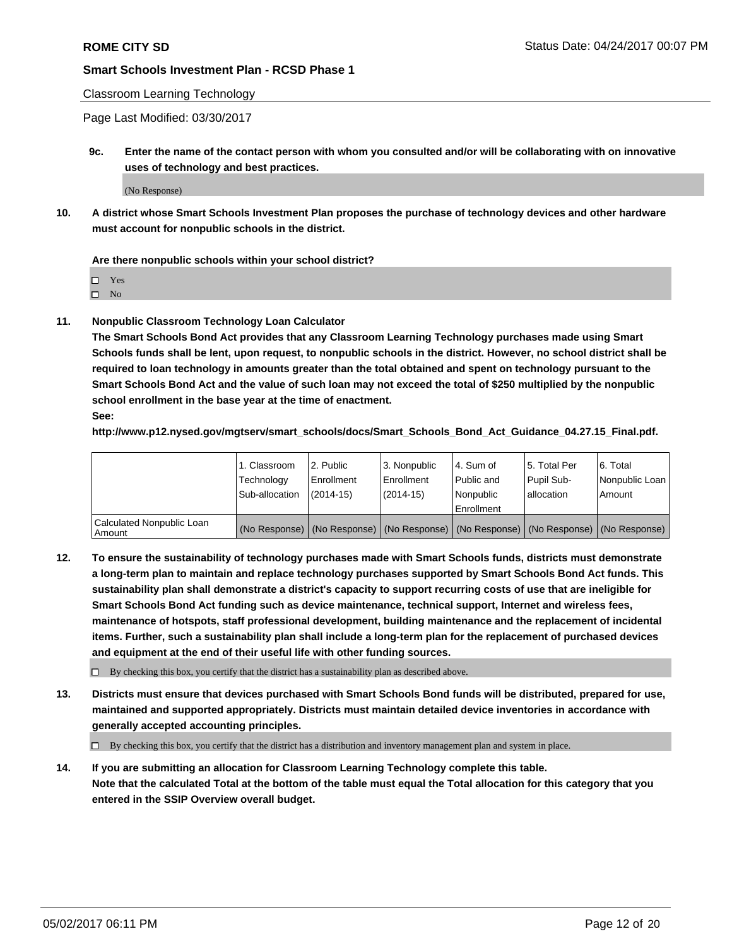#### Classroom Learning Technology

Page Last Modified: 03/30/2017

**9c. Enter the name of the contact person with whom you consulted and/or will be collaborating with on innovative uses of technology and best practices.**

(No Response)

**10. A district whose Smart Schools Investment Plan proposes the purchase of technology devices and other hardware must account for nonpublic schools in the district.**

**Are there nonpublic schools within your school district?**

Yes

 $\square$  No

**11. Nonpublic Classroom Technology Loan Calculator**

**The Smart Schools Bond Act provides that any Classroom Learning Technology purchases made using Smart Schools funds shall be lent, upon request, to nonpublic schools in the district. However, no school district shall be required to loan technology in amounts greater than the total obtained and spent on technology pursuant to the Smart Schools Bond Act and the value of such loan may not exceed the total of \$250 multiplied by the nonpublic school enrollment in the base year at the time of enactment.**

**See:**

**http://www.p12.nysed.gov/mgtserv/smart\_schools/docs/Smart\_Schools\_Bond\_Act\_Guidance\_04.27.15\_Final.pdf.**

|                                       | 1. Classroom<br>Technology | l 2. Public<br>Enrollment | 3. Nonpublic<br>Enrollment | l 4. Sum of<br>Public and | 15. Total Per<br>Pupil Sub- | 6. Total<br>Nonpublic Loan                                                                    |
|---------------------------------------|----------------------------|---------------------------|----------------------------|---------------------------|-----------------------------|-----------------------------------------------------------------------------------------------|
|                                       | Sub-allocation             | $(2014-15)$               | $(2014-15)$                | l Nonpublic               | allocation                  | Amount                                                                                        |
|                                       |                            |                           |                            | Enrollment                |                             |                                                                                               |
| Calculated Nonpublic Loan<br>  Amount |                            |                           |                            |                           |                             | (No Response)   (No Response)   (No Response)   (No Response)   (No Response)   (No Response) |

**12. To ensure the sustainability of technology purchases made with Smart Schools funds, districts must demonstrate a long-term plan to maintain and replace technology purchases supported by Smart Schools Bond Act funds. This sustainability plan shall demonstrate a district's capacity to support recurring costs of use that are ineligible for Smart Schools Bond Act funding such as device maintenance, technical support, Internet and wireless fees, maintenance of hotspots, staff professional development, building maintenance and the replacement of incidental items. Further, such a sustainability plan shall include a long-term plan for the replacement of purchased devices and equipment at the end of their useful life with other funding sources.**

 $\Box$  By checking this box, you certify that the district has a sustainability plan as described above.

**13. Districts must ensure that devices purchased with Smart Schools Bond funds will be distributed, prepared for use, maintained and supported appropriately. Districts must maintain detailed device inventories in accordance with generally accepted accounting principles.**

By checking this box, you certify that the district has a distribution and inventory management plan and system in place.

**14. If you are submitting an allocation for Classroom Learning Technology complete this table. Note that the calculated Total at the bottom of the table must equal the Total allocation for this category that you entered in the SSIP Overview overall budget.**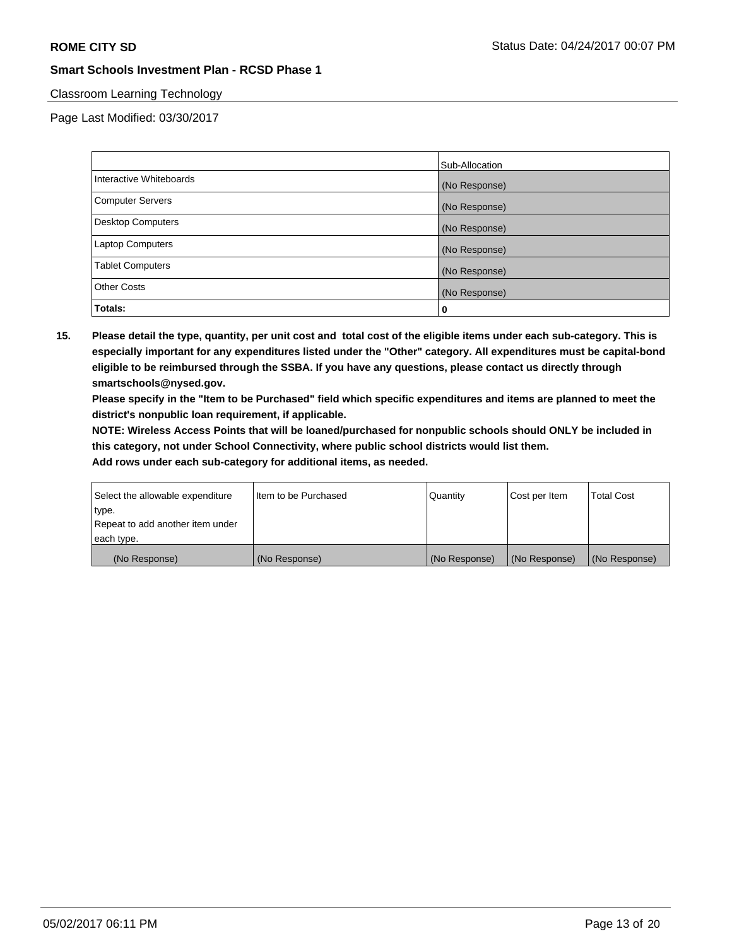## Classroom Learning Technology

Page Last Modified: 03/30/2017

|                          | Sub-Allocation |
|--------------------------|----------------|
| Interactive Whiteboards  | (No Response)  |
| Computer Servers         | (No Response)  |
| <b>Desktop Computers</b> | (No Response)  |
| <b>Laptop Computers</b>  | (No Response)  |
| <b>Tablet Computers</b>  | (No Response)  |
| <b>Other Costs</b>       | (No Response)  |
| Totals:                  | 0              |

**15. Please detail the type, quantity, per unit cost and total cost of the eligible items under each sub-category. This is especially important for any expenditures listed under the "Other" category. All expenditures must be capital-bond eligible to be reimbursed through the SSBA. If you have any questions, please contact us directly through smartschools@nysed.gov.**

**Please specify in the "Item to be Purchased" field which specific expenditures and items are planned to meet the district's nonpublic loan requirement, if applicable.**

**NOTE: Wireless Access Points that will be loaned/purchased for nonpublic schools should ONLY be included in this category, not under School Connectivity, where public school districts would list them.**

| type.<br>Repeat to add another item under |               |               |               |               |
|-------------------------------------------|---------------|---------------|---------------|---------------|
| each type.                                |               |               |               |               |
| (No Response)                             | (No Response) | (No Response) | (No Response) | (No Response) |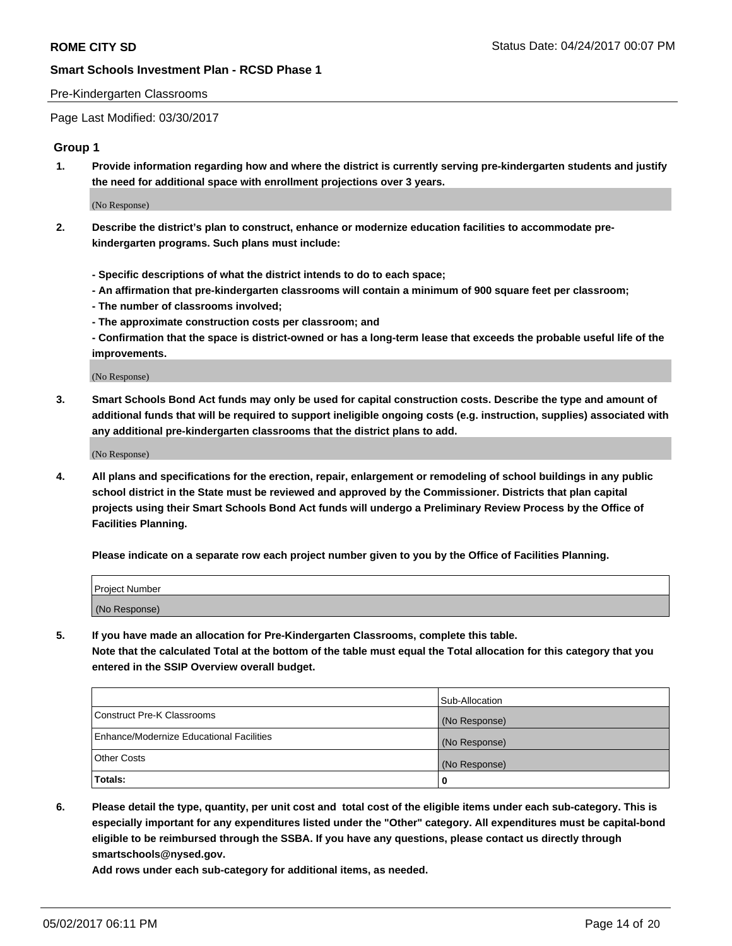#### Pre-Kindergarten Classrooms

Page Last Modified: 03/30/2017

#### **Group 1**

**1. Provide information regarding how and where the district is currently serving pre-kindergarten students and justify the need for additional space with enrollment projections over 3 years.**

(No Response)

- **2. Describe the district's plan to construct, enhance or modernize education facilities to accommodate prekindergarten programs. Such plans must include:**
	- **Specific descriptions of what the district intends to do to each space;**
	- **An affirmation that pre-kindergarten classrooms will contain a minimum of 900 square feet per classroom;**
	- **The number of classrooms involved;**
	- **The approximate construction costs per classroom; and**
	- **Confirmation that the space is district-owned or has a long-term lease that exceeds the probable useful life of the improvements.**

(No Response)

**3. Smart Schools Bond Act funds may only be used for capital construction costs. Describe the type and amount of additional funds that will be required to support ineligible ongoing costs (e.g. instruction, supplies) associated with any additional pre-kindergarten classrooms that the district plans to add.**

(No Response)

**4. All plans and specifications for the erection, repair, enlargement or remodeling of school buildings in any public school district in the State must be reviewed and approved by the Commissioner. Districts that plan capital projects using their Smart Schools Bond Act funds will undergo a Preliminary Review Process by the Office of Facilities Planning.**

**Please indicate on a separate row each project number given to you by the Office of Facilities Planning.**

| Project Number |  |
|----------------|--|
| (No Response)  |  |

**5. If you have made an allocation for Pre-Kindergarten Classrooms, complete this table. Note that the calculated Total at the bottom of the table must equal the Total allocation for this category that you entered in the SSIP Overview overall budget.**

| Totals:                                  | 0              |
|------------------------------------------|----------------|
| Other Costs                              | (No Response)  |
| Enhance/Modernize Educational Facilities | (No Response)  |
| Construct Pre-K Classrooms               | (No Response)  |
|                                          | Sub-Allocation |

**6. Please detail the type, quantity, per unit cost and total cost of the eligible items under each sub-category. This is especially important for any expenditures listed under the "Other" category. All expenditures must be capital-bond eligible to be reimbursed through the SSBA. If you have any questions, please contact us directly through smartschools@nysed.gov.**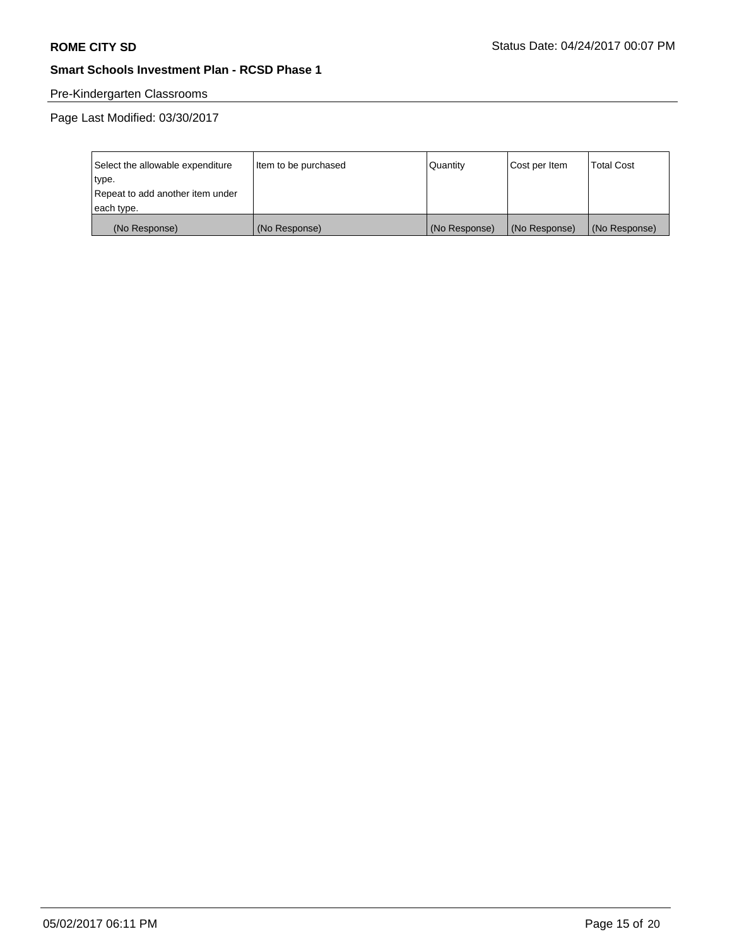# Pre-Kindergarten Classrooms

| Select the allowable expenditure | Item to be purchased | Quantity      | Cost per Item | <b>Total Cost</b> |
|----------------------------------|----------------------|---------------|---------------|-------------------|
| type.                            |                      |               |               |                   |
| Repeat to add another item under |                      |               |               |                   |
| each type.                       |                      |               |               |                   |
| (No Response)                    | (No Response)        | (No Response) | (No Response) | (No Response)     |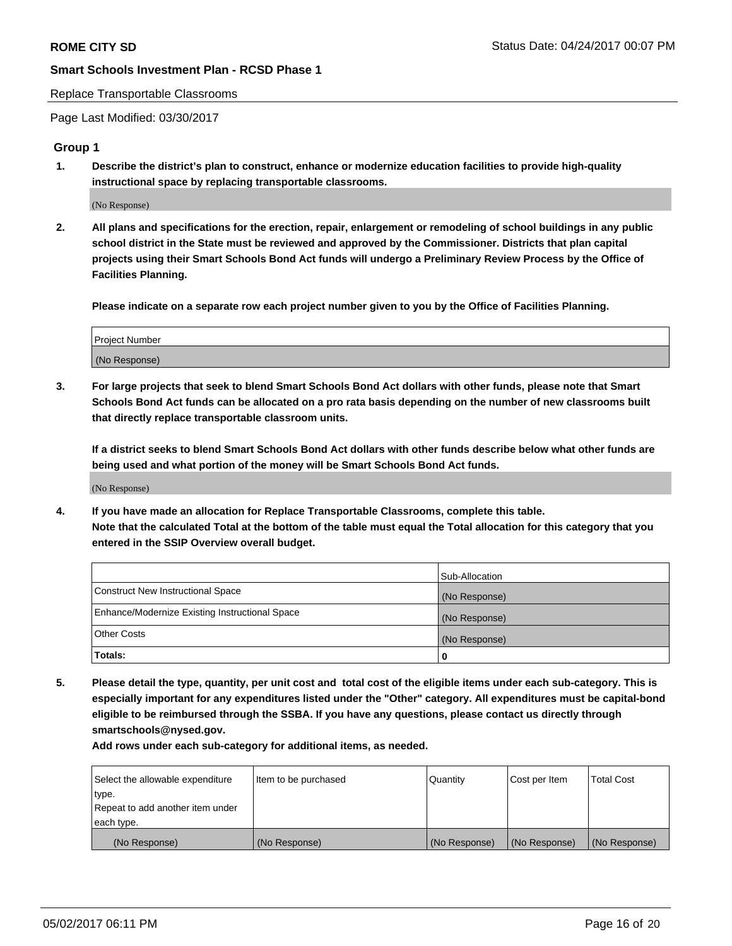#### Replace Transportable Classrooms

Page Last Modified: 03/30/2017

#### **Group 1**

**1. Describe the district's plan to construct, enhance or modernize education facilities to provide high-quality instructional space by replacing transportable classrooms.**

(No Response)

**2. All plans and specifications for the erection, repair, enlargement or remodeling of school buildings in any public school district in the State must be reviewed and approved by the Commissioner. Districts that plan capital projects using their Smart Schools Bond Act funds will undergo a Preliminary Review Process by the Office of Facilities Planning.**

**Please indicate on a separate row each project number given to you by the Office of Facilities Planning.**

| Project Number |  |
|----------------|--|
| (No Response)  |  |

**3. For large projects that seek to blend Smart Schools Bond Act dollars with other funds, please note that Smart Schools Bond Act funds can be allocated on a pro rata basis depending on the number of new classrooms built that directly replace transportable classroom units.**

**If a district seeks to blend Smart Schools Bond Act dollars with other funds describe below what other funds are being used and what portion of the money will be Smart Schools Bond Act funds.**

(No Response)

**4. If you have made an allocation for Replace Transportable Classrooms, complete this table. Note that the calculated Total at the bottom of the table must equal the Total allocation for this category that you entered in the SSIP Overview overall budget.**

|                                                | Sub-Allocation |
|------------------------------------------------|----------------|
| Construct New Instructional Space              | (No Response)  |
| Enhance/Modernize Existing Instructional Space | (No Response)  |
| Other Costs                                    | (No Response)  |
| Totals:                                        | $\Omega$       |

**5. Please detail the type, quantity, per unit cost and total cost of the eligible items under each sub-category. This is especially important for any expenditures listed under the "Other" category. All expenditures must be capital-bond eligible to be reimbursed through the SSBA. If you have any questions, please contact us directly through smartschools@nysed.gov.**

| Select the allowable expenditure | Item to be purchased | Quantity      | Cost per Item | <b>Total Cost</b> |
|----------------------------------|----------------------|---------------|---------------|-------------------|
| type.                            |                      |               |               |                   |
| Repeat to add another item under |                      |               |               |                   |
| each type.                       |                      |               |               |                   |
| (No Response)                    | (No Response)        | (No Response) | (No Response) | (No Response)     |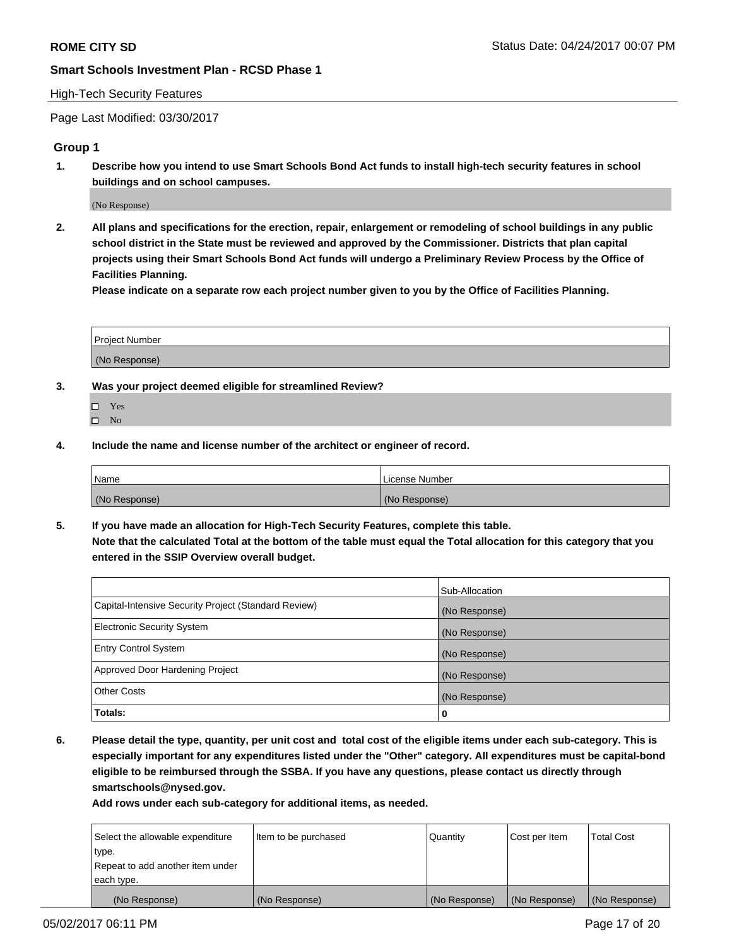#### High-Tech Security Features

Page Last Modified: 03/30/2017

### **Group 1**

**1. Describe how you intend to use Smart Schools Bond Act funds to install high-tech security features in school buildings and on school campuses.**

(No Response)

**2. All plans and specifications for the erection, repair, enlargement or remodeling of school buildings in any public school district in the State must be reviewed and approved by the Commissioner. Districts that plan capital projects using their Smart Schools Bond Act funds will undergo a Preliminary Review Process by the Office of Facilities Planning.** 

**Please indicate on a separate row each project number given to you by the Office of Facilities Planning.**

| Project Number |  |
|----------------|--|
|                |  |
|                |  |
|                |  |
| (No Response)  |  |
|                |  |

- **3. Was your project deemed eligible for streamlined Review?**
	- Yes  $\hfill \square$  No
- **4. Include the name and license number of the architect or engineer of record.**

| <b>Name</b>   | License Number |
|---------------|----------------|
| (No Response) | (No Response)  |

**5. If you have made an allocation for High-Tech Security Features, complete this table. Note that the calculated Total at the bottom of the table must equal the Total allocation for this category that you entered in the SSIP Overview overall budget.**

|                                                      | Sub-Allocation |
|------------------------------------------------------|----------------|
| Capital-Intensive Security Project (Standard Review) | (No Response)  |
| Electronic Security System                           | (No Response)  |
| <b>Entry Control System</b>                          | (No Response)  |
| Approved Door Hardening Project                      | (No Response)  |
| <b>Other Costs</b>                                   | (No Response)  |
| Totals:                                              | 0              |

**6. Please detail the type, quantity, per unit cost and total cost of the eligible items under each sub-category. This is especially important for any expenditures listed under the "Other" category. All expenditures must be capital-bond eligible to be reimbursed through the SSBA. If you have any questions, please contact us directly through smartschools@nysed.gov.**

| (No Response)                    | (No Response)        | (No Response)   | (No Response) | (No Response)     |
|----------------------------------|----------------------|-----------------|---------------|-------------------|
| each type.                       |                      |                 |               |                   |
| Repeat to add another item under |                      |                 |               |                   |
| type.                            |                      |                 |               |                   |
| Select the allowable expenditure | Item to be purchased | <b>Quantity</b> | Cost per Item | <b>Total Cost</b> |
|                                  |                      |                 |               |                   |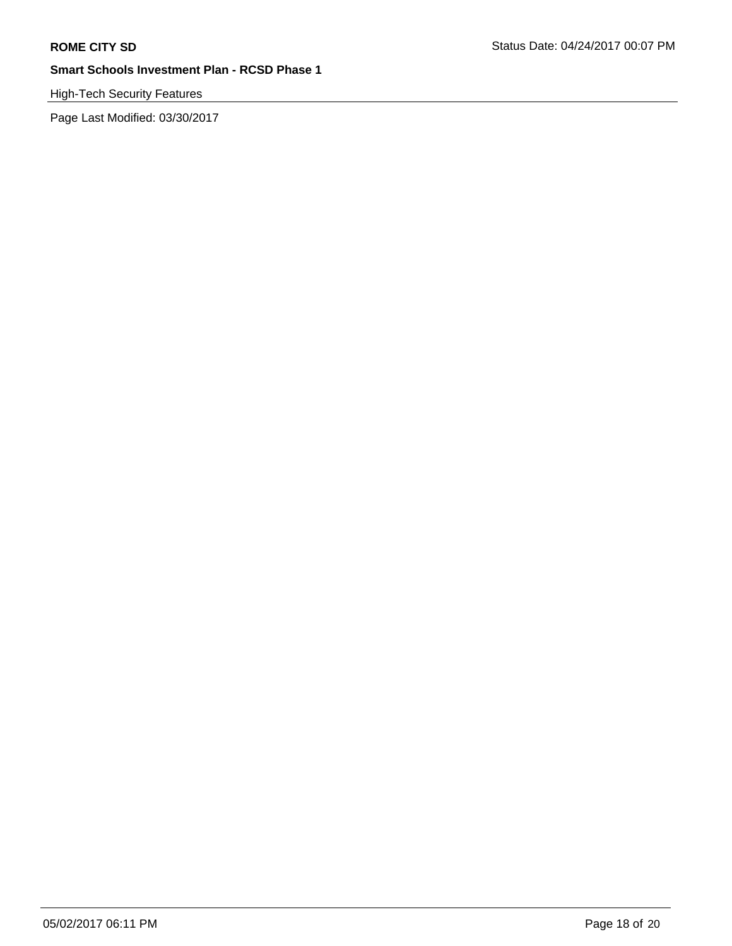# High-Tech Security Features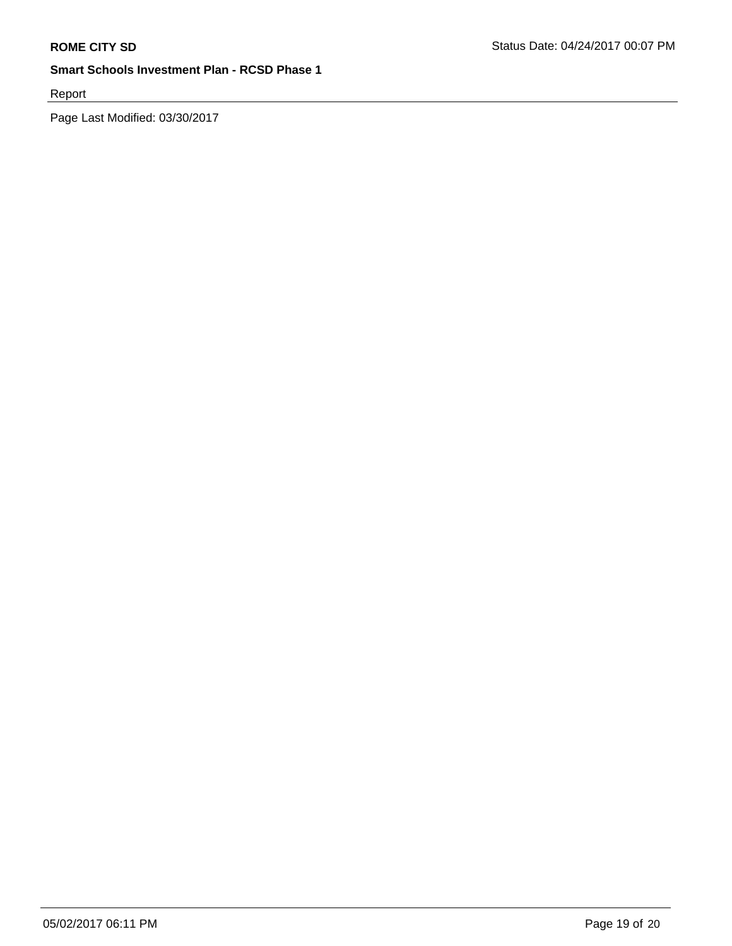Report